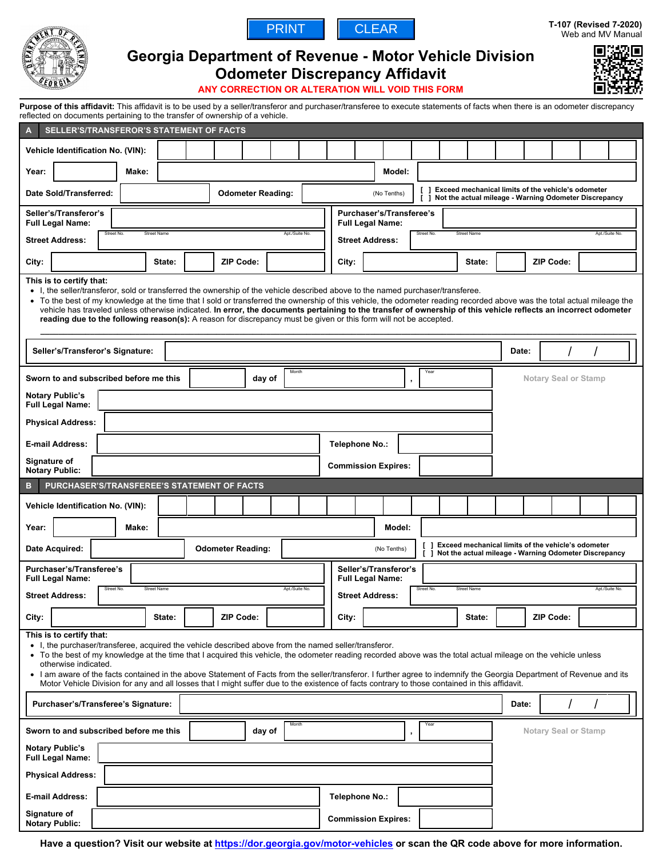

# **Georgia Department of Revenue - Motor Vehicle Division**



# **Odometer Discrepancy Affidavit**

PRINT | CLEAR



**ANY CORRECTION OR ALTERATION WILL VOID THIS FORM**

| reflected on documents pertaining to the transfer of ownership of a vehicle.                                                                                                                                                                                                                                                                                                                                                                                                                                                                                                                                                                          |                                                                                                                                                                                                                                                                                                                                                                                                                                                                                                                                                                                                   |             |                |                                                            | Purpose of this affidavit: This affidavit is to be used by a seller/transferor and purchaser/transferee to execute statements of facts when there is an odometer discrepancy |        |                                                |                                                                                                             |                                                                                                                     |                |  |                             |  |                |  |
|-------------------------------------------------------------------------------------------------------------------------------------------------------------------------------------------------------------------------------------------------------------------------------------------------------------------------------------------------------------------------------------------------------------------------------------------------------------------------------------------------------------------------------------------------------------------------------------------------------------------------------------------------------|---------------------------------------------------------------------------------------------------------------------------------------------------------------------------------------------------------------------------------------------------------------------------------------------------------------------------------------------------------------------------------------------------------------------------------------------------------------------------------------------------------------------------------------------------------------------------------------------------|-------------|----------------|------------------------------------------------------------|------------------------------------------------------------------------------------------------------------------------------------------------------------------------------|--------|------------------------------------------------|-------------------------------------------------------------------------------------------------------------|---------------------------------------------------------------------------------------------------------------------|----------------|--|-----------------------------|--|----------------|--|
| SELLER'S/TRANSFEROR'S STATEMENT OF FACTS<br>$\overline{A}$                                                                                                                                                                                                                                                                                                                                                                                                                                                                                                                                                                                            |                                                                                                                                                                                                                                                                                                                                                                                                                                                                                                                                                                                                   |             |                |                                                            |                                                                                                                                                                              |        |                                                |                                                                                                             |                                                                                                                     |                |  |                             |  |                |  |
| Vehicle Identification No. (VIN):                                                                                                                                                                                                                                                                                                                                                                                                                                                                                                                                                                                                                     |                                                                                                                                                                                                                                                                                                                                                                                                                                                                                                                                                                                                   |             |                |                                                            |                                                                                                                                                                              |        |                                                |                                                                                                             |                                                                                                                     |                |  |                             |  |                |  |
| Year:<br>Make:                                                                                                                                                                                                                                                                                                                                                                                                                                                                                                                                                                                                                                        |                                                                                                                                                                                                                                                                                                                                                                                                                                                                                                                                                                                                   |             |                |                                                            |                                                                                                                                                                              | Model: |                                                |                                                                                                             |                                                                                                                     |                |  |                             |  |                |  |
| Date Sold/Transferred:                                                                                                                                                                                                                                                                                                                                                                                                                                                                                                                                                                                                                                | <b>Odometer Reading:</b>                                                                                                                                                                                                                                                                                                                                                                                                                                                                                                                                                                          | (No Tenths) |                |                                                            |                                                                                                                                                                              |        |                                                |                                                                                                             | [ ] Exceed mechanical limits of the vehicle's odometer<br>[ ] Not the actual mileage - Warning Odometer Discrepancy |                |  |                             |  |                |  |
| Seller's/Transferor's<br><b>Full Legal Name:</b>                                                                                                                                                                                                                                                                                                                                                                                                                                                                                                                                                                                                      |                                                                                                                                                                                                                                                                                                                                                                                                                                                                                                                                                                                                   |             |                | Purchaser's/Transferee's<br><b>Full Legal Name:</b>        |                                                                                                                                                                              |        |                                                |                                                                                                             |                                                                                                                     |                |  |                             |  |                |  |
| Street No.<br><b>Street Name</b><br>Apt./Suite No.<br><b>Street Address:</b>                                                                                                                                                                                                                                                                                                                                                                                                                                                                                                                                                                          |                                                                                                                                                                                                                                                                                                                                                                                                                                                                                                                                                                                                   |             |                | Street No.<br><b>Street Name</b><br><b>Street Address:</b> |                                                                                                                                                                              |        |                                                |                                                                                                             |                                                                                                                     | Apt./Suite No. |  |                             |  |                |  |
| City:<br>State:                                                                                                                                                                                                                                                                                                                                                                                                                                                                                                                                                                                                                                       | <b>ZIP Code:</b>                                                                                                                                                                                                                                                                                                                                                                                                                                                                                                                                                                                  |             |                | City:                                                      |                                                                                                                                                                              |        |                                                |                                                                                                             | State:                                                                                                              |                |  | <b>ZIP Code:</b>            |  |                |  |
| This is to certify that:<br>$\bullet$                                                                                                                                                                                                                                                                                                                                                                                                                                                                                                                                                                                                                 | • I, the seller/transferor, sold or transferred the ownership of the vehicle described above to the named purchaser/transferee.<br>To the best of my knowledge at the time that I sold or transferred the ownership of this vehicle, the odometer reading recorded above was the total actual mileage the<br>vehicle has traveled unless otherwise indicated. In error, the documents pertaining to the transfer of ownership of this vehicle reflects an incorrect odometer<br>reading due to the following reason(s): A reason for discrepancy must be given or this form will not be accepted. |             |                |                                                            |                                                                                                                                                                              |        |                                                |                                                                                                             |                                                                                                                     |                |  |                             |  |                |  |
| Seller's/Transferor's Signature:                                                                                                                                                                                                                                                                                                                                                                                                                                                                                                                                                                                                                      |                                                                                                                                                                                                                                                                                                                                                                                                                                                                                                                                                                                                   |             |                |                                                            |                                                                                                                                                                              |        |                                                |                                                                                                             |                                                                                                                     | Date:          |  |                             |  |                |  |
| Sworn to and subscribed before me this                                                                                                                                                                                                                                                                                                                                                                                                                                                                                                                                                                                                                |                                                                                                                                                                                                                                                                                                                                                                                                                                                                                                                                                                                                   | day of      | Month          |                                                            |                                                                                                                                                                              |        | Yea                                            |                                                                                                             |                                                                                                                     |                |  | <b>Notary Seal or Stamp</b> |  |                |  |
| <b>Notary Public's</b><br><b>Full Legal Name:</b>                                                                                                                                                                                                                                                                                                                                                                                                                                                                                                                                                                                                     |                                                                                                                                                                                                                                                                                                                                                                                                                                                                                                                                                                                                   |             |                |                                                            |                                                                                                                                                                              |        |                                                |                                                                                                             |                                                                                                                     |                |  |                             |  |                |  |
| <b>Physical Address:</b>                                                                                                                                                                                                                                                                                                                                                                                                                                                                                                                                                                                                                              |                                                                                                                                                                                                                                                                                                                                                                                                                                                                                                                                                                                                   |             |                |                                                            |                                                                                                                                                                              |        |                                                |                                                                                                             |                                                                                                                     |                |  |                             |  |                |  |
| <b>E-mail Address:</b>                                                                                                                                                                                                                                                                                                                                                                                                                                                                                                                                                                                                                                |                                                                                                                                                                                                                                                                                                                                                                                                                                                                                                                                                                                                   |             |                |                                                            | Telephone No.:                                                                                                                                                               |        |                                                |                                                                                                             |                                                                                                                     |                |  |                             |  |                |  |
| Signature of<br><b>Notary Public:</b>                                                                                                                                                                                                                                                                                                                                                                                                                                                                                                                                                                                                                 |                                                                                                                                                                                                                                                                                                                                                                                                                                                                                                                                                                                                   |             |                |                                                            |                                                                                                                                                                              |        |                                                |                                                                                                             |                                                                                                                     |                |  |                             |  |                |  |
|                                                                                                                                                                                                                                                                                                                                                                                                                                                                                                                                                                                                                                                       |                                                                                                                                                                                                                                                                                                                                                                                                                                                                                                                                                                                                   |             |                | <b>Commission Expires:</b>                                 |                                                                                                                                                                              |        |                                                |                                                                                                             |                                                                                                                     |                |  |                             |  |                |  |
| PURCHASER'S/TRANSFEREE'S STATEMENT OF FACTS<br>B                                                                                                                                                                                                                                                                                                                                                                                                                                                                                                                                                                                                      |                                                                                                                                                                                                                                                                                                                                                                                                                                                                                                                                                                                                   |             |                |                                                            |                                                                                                                                                                              |        |                                                |                                                                                                             |                                                                                                                     |                |  |                             |  |                |  |
| Vehicle Identification No. (VIN):                                                                                                                                                                                                                                                                                                                                                                                                                                                                                                                                                                                                                     |                                                                                                                                                                                                                                                                                                                                                                                                                                                                                                                                                                                                   |             |                |                                                            |                                                                                                                                                                              |        |                                                |                                                                                                             |                                                                                                                     |                |  |                             |  |                |  |
| Year:<br>Make:                                                                                                                                                                                                                                                                                                                                                                                                                                                                                                                                                                                                                                        |                                                                                                                                                                                                                                                                                                                                                                                                                                                                                                                                                                                                   |             |                |                                                            |                                                                                                                                                                              | Model: |                                                |                                                                                                             |                                                                                                                     |                |  |                             |  |                |  |
| Date Acquired:                                                                                                                                                                                                                                                                                                                                                                                                                                                                                                                                                                                                                                        | <b>Odometer Reading:</b>                                                                                                                                                                                                                                                                                                                                                                                                                                                                                                                                                                          |             |                |                                                            | (No Tenths)                                                                                                                                                                  |        | $\begin{smallmatrix} \end{smallmatrix}$<br>I 1 | Exceed mechanical limits of the vehicle's odometer<br>Not the actual mileage - Warning Odometer Discrepancy |                                                                                                                     |                |  |                             |  |                |  |
| Purchaser's/Transferee's<br><b>Full Legal Name:</b>                                                                                                                                                                                                                                                                                                                                                                                                                                                                                                                                                                                                   |                                                                                                                                                                                                                                                                                                                                                                                                                                                                                                                                                                                                   |             |                |                                                            | Seller's/Transferor's<br><b>Full Legal Name:</b>                                                                                                                             |        |                                                |                                                                                                             |                                                                                                                     |                |  |                             |  |                |  |
| Street No.<br><b>Street Name</b><br><b>Street Address:</b>                                                                                                                                                                                                                                                                                                                                                                                                                                                                                                                                                                                            |                                                                                                                                                                                                                                                                                                                                                                                                                                                                                                                                                                                                   |             | Apt./Suite No. |                                                            | <b>Street Address:</b>                                                                                                                                                       |        | Street No.                                     | <b>Street Name</b>                                                                                          |                                                                                                                     |                |  |                             |  | Apt./Suite No. |  |
| City:<br>State:                                                                                                                                                                                                                                                                                                                                                                                                                                                                                                                                                                                                                                       | <b>ZIP Code:</b>                                                                                                                                                                                                                                                                                                                                                                                                                                                                                                                                                                                  |             |                | City:                                                      |                                                                                                                                                                              |        |                                                |                                                                                                             | State:                                                                                                              |                |  | <b>ZIP Code:</b>            |  |                |  |
| This is to certify that:<br>• I, the purchaser/transferee, acquired the vehicle described above from the named seller/transferor.<br>• To the best of my knowledge at the time that I acquired this vehicle, the odometer reading recorded above was the total actual mileage on the vehicle unless<br>otherwise indicated.<br>I am aware of the facts contained in the above Statement of Facts from the seller/transferor. I further agree to indemnify the Georgia Department of Revenue and its<br>Motor Vehicle Division for any and all losses that I might suffer due to the existence of facts contrary to those contained in this affidavit. |                                                                                                                                                                                                                                                                                                                                                                                                                                                                                                                                                                                                   |             |                |                                                            |                                                                                                                                                                              |        |                                                |                                                                                                             |                                                                                                                     |                |  |                             |  |                |  |
| Purchaser's/Transferee's Signature:                                                                                                                                                                                                                                                                                                                                                                                                                                                                                                                                                                                                                   |                                                                                                                                                                                                                                                                                                                                                                                                                                                                                                                                                                                                   |             |                |                                                            |                                                                                                                                                                              |        |                                                |                                                                                                             |                                                                                                                     | Date:          |  |                             |  |                |  |
| Sworn to and subscribed before me this<br><b>Notary Public's</b><br><b>Full Legal Name:</b>                                                                                                                                                                                                                                                                                                                                                                                                                                                                                                                                                           |                                                                                                                                                                                                                                                                                                                                                                                                                                                                                                                                                                                                   | day of      | Month          |                                                            |                                                                                                                                                                              | ,      |                                                |                                                                                                             |                                                                                                                     |                |  | <b>Notary Seal or Stamp</b> |  |                |  |
| <b>Physical Address:</b>                                                                                                                                                                                                                                                                                                                                                                                                                                                                                                                                                                                                                              |                                                                                                                                                                                                                                                                                                                                                                                                                                                                                                                                                                                                   |             |                |                                                            |                                                                                                                                                                              |        |                                                |                                                                                                             |                                                                                                                     |                |  |                             |  |                |  |
| E-mail Address:<br>Signature of                                                                                                                                                                                                                                                                                                                                                                                                                                                                                                                                                                                                                       |                                                                                                                                                                                                                                                                                                                                                                                                                                                                                                                                                                                                   |             |                | Telephone No.:                                             |                                                                                                                                                                              |        |                                                |                                                                                                             |                                                                                                                     |                |  |                             |  |                |  |

**Have a question? Visit our website at<https://dor.georgia.gov/motor-vehicles> or scan the QR code above for more information.**